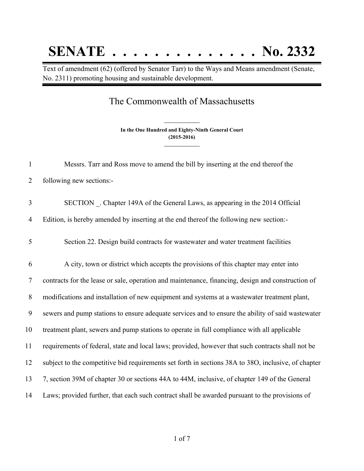## **SENATE . . . . . . . . . . . . . . No. 2332**

Text of amendment (62) (offered by Senator Tarr) to the Ways and Means amendment (Senate, No. 2311) promoting housing and sustainable development.

## The Commonwealth of Massachusetts

**In the One Hundred and Eighty-Ninth General Court (2015-2016) \_\_\_\_\_\_\_\_\_\_\_\_\_\_\_**

**\_\_\_\_\_\_\_\_\_\_\_\_\_\_\_**

| $\mathbf{1}$   | Messrs. Tarr and Ross move to amend the bill by inserting at the end thereof the                    |
|----------------|-----------------------------------------------------------------------------------------------------|
| $\overline{2}$ | following new sections:-                                                                            |
| 3              | SECTION . Chapter 149A of the General Laws, as appearing in the 2014 Official                       |
| $\overline{4}$ | Edition, is hereby amended by inserting at the end thereof the following new section:-              |
| 5              | Section 22. Design build contracts for wastewater and water treatment facilities                    |
| 6              | A city, town or district which accepts the provisions of this chapter may enter into                |
| $\overline{7}$ | contracts for the lease or sale, operation and maintenance, financing, design and construction of   |
| 8              | modifications and installation of new equipment and systems at a wastewater treatment plant,        |
| 9              | sewers and pump stations to ensure adequate services and to ensure the ability of said wastewater   |
| 10             | treatment plant, sewers and pump stations to operate in full compliance with all applicable         |
| 11             | requirements of federal, state and local laws; provided, however that such contracts shall not be   |
| 12             | subject to the competitive bid requirements set forth in sections 38A to 38O, inclusive, of chapter |
| 13             | 7, section 39M of chapter 30 or sections 44A to 44M, inclusive, of chapter 149 of the General       |
| 14             | Laws; provided further, that each such contract shall be awarded pursuant to the provisions of      |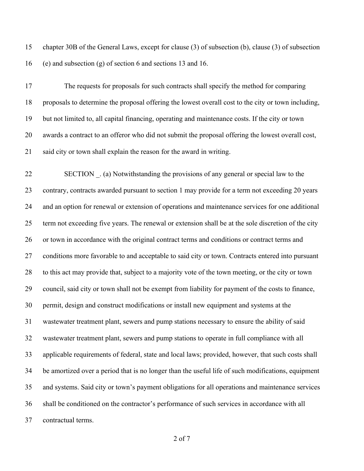chapter 30B of the General Laws, except for clause (3) of subsection (b), clause (3) of subsection (e) and subsection (g) of section 6 and sections 13 and 16.

 The requests for proposals for such contracts shall specify the method for comparing proposals to determine the proposal offering the lowest overall cost to the city or town including, but not limited to, all capital financing, operating and maintenance costs. If the city or town awards a contract to an offeror who did not submit the proposal offering the lowest overall cost, said city or town shall explain the reason for the award in writing.

 SECTION \_. (a) Notwithstanding the provisions of any general or special law to the contrary, contracts awarded pursuant to section 1 may provide for a term not exceeding 20 years and an option for renewal or extension of operations and maintenance services for one additional term not exceeding five years. The renewal or extension shall be at the sole discretion of the city or town in accordance with the original contract terms and conditions or contract terms and conditions more favorable to and acceptable to said city or town. Contracts entered into pursuant to this act may provide that, subject to a majority vote of the town meeting, or the city or town council, said city or town shall not be exempt from liability for payment of the costs to finance, permit, design and construct modifications or install new equipment and systems at the wastewater treatment plant, sewers and pump stations necessary to ensure the ability of said wastewater treatment plant, sewers and pump stations to operate in full compliance with all applicable requirements of federal, state and local laws; provided, however, that such costs shall be amortized over a period that is no longer than the useful life of such modifications, equipment and systems. Said city or town's payment obligations for all operations and maintenance services shall be conditioned on the contractor's performance of such services in accordance with all contractual terms.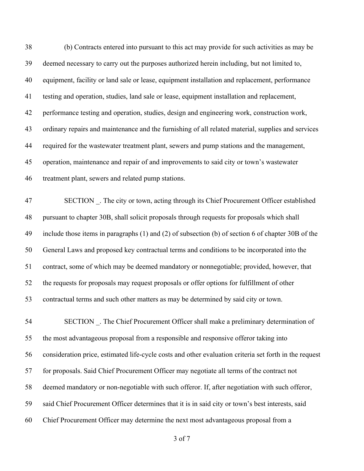(b) Contracts entered into pursuant to this act may provide for such activities as may be deemed necessary to carry out the purposes authorized herein including, but not limited to, equipment, facility or land sale or lease, equipment installation and replacement, performance testing and operation, studies, land sale or lease, equipment installation and replacement, performance testing and operation, studies, design and engineering work, construction work, ordinary repairs and maintenance and the furnishing of all related material, supplies and services required for the wastewater treatment plant, sewers and pump stations and the management, operation, maintenance and repair of and improvements to said city or town's wastewater treatment plant, sewers and related pump stations. 47 SECTION . The city or town, acting through its Chief Procurement Officer established pursuant to chapter 30B, shall solicit proposals through requests for proposals which shall include those items in paragraphs (1) and (2) of subsection (b) of section 6 of chapter 30B of the General Laws and proposed key contractual terms and conditions to be incorporated into the contract, some of which may be deemed mandatory or nonnegotiable; provided, however, that the requests for proposals may request proposals or offer options for fulfillment of other contractual terms and such other matters as may be determined by said city or town. 54 SECTION . The Chief Procurement Officer shall make a preliminary determination of the most advantageous proposal from a responsible and responsive offeror taking into consideration price, estimated life-cycle costs and other evaluation criteria set forth in the request for proposals. Said Chief Procurement Officer may negotiate all terms of the contract not

deemed mandatory or non-negotiable with such offeror. If, after negotiation with such offeror,

said Chief Procurement Officer determines that it is in said city or town's best interests, said

Chief Procurement Officer may determine the next most advantageous proposal from a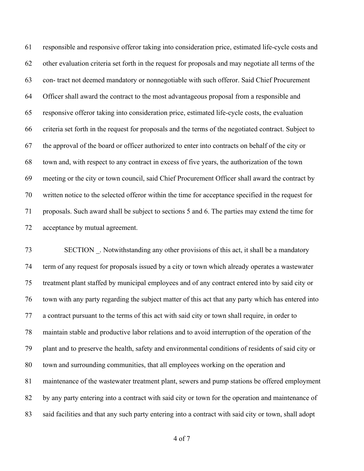responsible and responsive offeror taking into consideration price, estimated life-cycle costs and other evaluation criteria set forth in the request for proposals and may negotiate all terms of the con- tract not deemed mandatory or nonnegotiable with such offeror. Said Chief Procurement Officer shall award the contract to the most advantageous proposal from a responsible and responsive offeror taking into consideration price, estimated life-cycle costs, the evaluation criteria set forth in the request for proposals and the terms of the negotiated contract. Subject to the approval of the board or officer authorized to enter into contracts on behalf of the city or town and, with respect to any contract in excess of five years, the authorization of the town meeting or the city or town council, said Chief Procurement Officer shall award the contract by written notice to the selected offeror within the time for acceptance specified in the request for proposals. Such award shall be subject to sections 5 and 6. The parties may extend the time for acceptance by mutual agreement.

 SECTION \_. Notwithstanding any other provisions of this act, it shall be a mandatory term of any request for proposals issued by a city or town which already operates a wastewater treatment plant staffed by municipal employees and of any contract entered into by said city or town with any party regarding the subject matter of this act that any party which has entered into a contract pursuant to the terms of this act with said city or town shall require, in order to maintain stable and productive labor relations and to avoid interruption of the operation of the plant and to preserve the health, safety and environmental conditions of residents of said city or town and surrounding communities, that all employees working on the operation and maintenance of the wastewater treatment plant, sewers and pump stations be offered employment 82 by any party entering into a contract with said city or town for the operation and maintenance of said facilities and that any such party entering into a contract with said city or town, shall adopt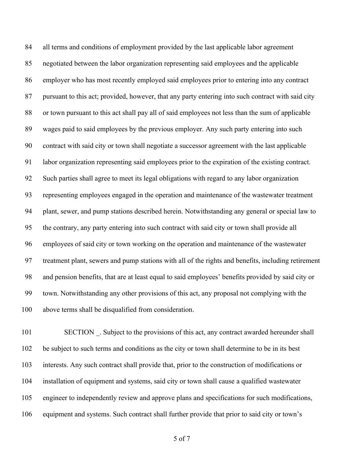all terms and conditions of employment provided by the last applicable labor agreement negotiated between the labor organization representing said employees and the applicable employer who has most recently employed said employees prior to entering into any contract pursuant to this act; provided, however, that any party entering into such contract with said city or town pursuant to this act shall pay all of said employees not less than the sum of applicable wages paid to said employees by the previous employer. Any such party entering into such contract with said city or town shall negotiate a successor agreement with the last applicable labor organization representing said employees prior to the expiration of the existing contract. Such parties shall agree to meet its legal obligations with regard to any labor organization representing employees engaged in the operation and maintenance of the wastewater treatment plant, sewer, and pump stations described herein. Notwithstanding any general or special law to the contrary, any party entering into such contract with said city or town shall provide all employees of said city or town working on the operation and maintenance of the wastewater treatment plant, sewers and pump stations with all of the rights and benefits, including retirement and pension benefits, that are at least equal to said employees' benefits provided by said city or town. Notwithstanding any other provisions of this act, any proposal not complying with the above terms shall be disqualified from consideration.

101 SECTION . Subject to the provisions of this act, any contract awarded hereunder shall be subject to such terms and conditions as the city or town shall determine to be in its best interests. Any such contract shall provide that, prior to the construction of modifications or installation of equipment and systems, said city or town shall cause a qualified wastewater engineer to independently review and approve plans and specifications for such modifications, equipment and systems. Such contract shall further provide that prior to said city or town's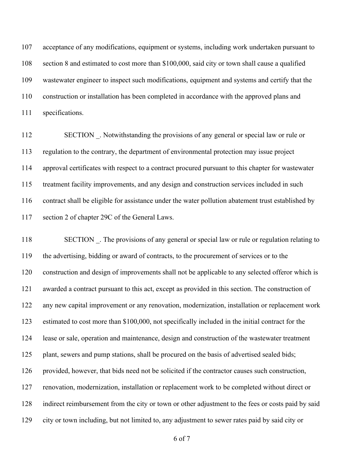acceptance of any modifications, equipment or systems, including work undertaken pursuant to section 8 and estimated to cost more than \$100,000, said city or town shall cause a qualified wastewater engineer to inspect such modifications, equipment and systems and certify that the construction or installation has been completed in accordance with the approved plans and specifications.

112 SECTION . Notwithstanding the provisions of any general or special law or rule or regulation to the contrary, the department of environmental protection may issue project approval certificates with respect to a contract procured pursuant to this chapter for wastewater treatment facility improvements, and any design and construction services included in such contract shall be eligible for assistance under the water pollution abatement trust established by section 2 of chapter 29C of the General Laws.

118 SECTION . The provisions of any general or special law or rule or regulation relating to the advertising, bidding or award of contracts, to the procurement of services or to the construction and design of improvements shall not be applicable to any selected offeror which is awarded a contract pursuant to this act, except as provided in this section. The construction of any new capital improvement or any renovation, modernization, installation or replacement work estimated to cost more than \$100,000, not specifically included in the initial contract for the lease or sale, operation and maintenance, design and construction of the wastewater treatment 125 plant, sewers and pump stations, shall be procured on the basis of advertised sealed bids; provided, however, that bids need not be solicited if the contractor causes such construction, renovation, modernization, installation or replacement work to be completed without direct or indirect reimbursement from the city or town or other adjustment to the fees or costs paid by said city or town including, but not limited to, any adjustment to sewer rates paid by said city or